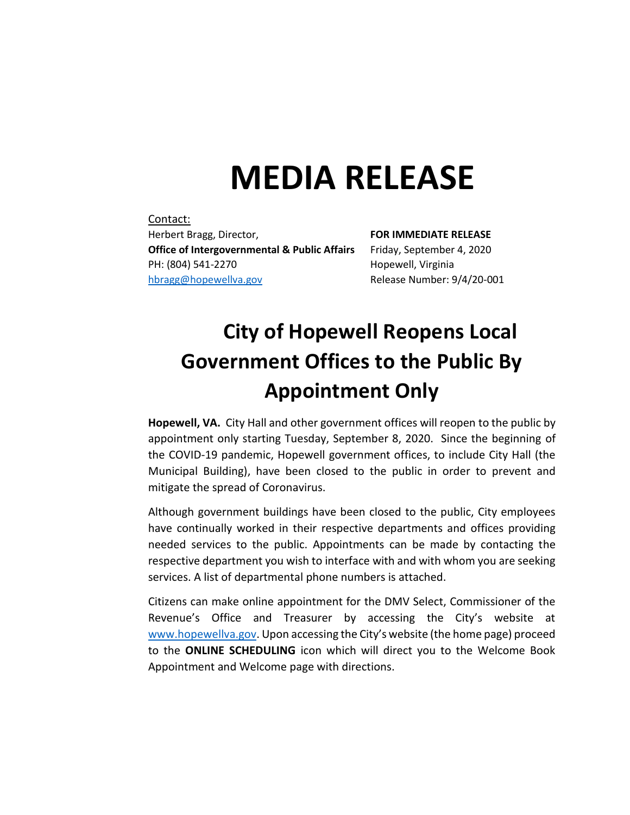## **MEDIA RELEASE**

Contact: Herbert Bragg, Director, **FOR IMMEDIATE RELEASE Office of Intergovernmental & Public Affairs** Friday, September 4, 2020 PH: (804) 541-2270 Hopewell, Virginia [hbragg@hopewellva.gov](mailto:hbragg@hopewellva.gov) Release Number: 9/4/20-001

## **City of Hopewell Reopens Local Government Offices to the Public By Appointment Only**

**Hopewell, VA.** City Hall and other government offices will reopen to the public by appointment only starting Tuesday, September 8, 2020. Since the beginning of the COVID-19 pandemic, Hopewell government offices, to include City Hall (the Municipal Building), have been closed to the public in order to prevent and mitigate the spread of Coronavirus.

Although government buildings have been closed to the public, City employees have continually worked in their respective departments and offices providing needed services to the public. Appointments can be made by contacting the respective department you wish to interface with and with whom you are seeking services. A list of departmental phone numbers is attached.

Citizens can make online appointment for the DMV Select, Commissioner of the Revenue's Office and Treasurer by accessing the City's website at [www.hopewellva.gov](http://www.hopewellva.gov/). Upon accessing the City's website (the home page) proceed to the **ONLINE SCHEDULING** icon which will direct you to the Welcome Book Appointment and Welcome page with directions.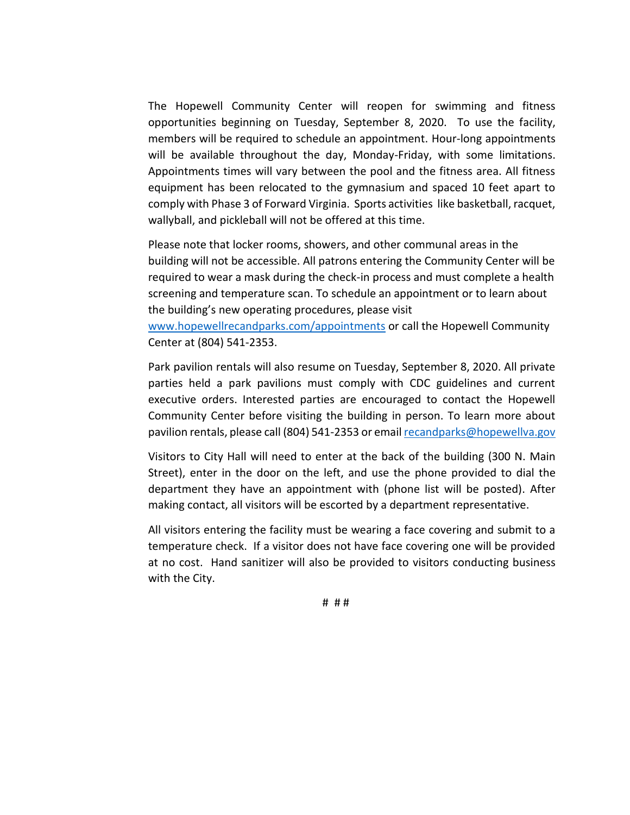The Hopewell Community Center will reopen for swimming and fitness opportunities beginning on Tuesday, September 8, 2020. To use the facility, members will be required to schedule an appointment. Hour-long appointments will be available throughout the day, Monday-Friday, with some limitations. Appointments times will vary between the pool and the fitness area. All fitness equipment has been relocated to the gymnasium and spaced 10 feet apart to comply with Phase 3 of Forward Virginia. Sports activities like basketball, racquet, wallyball, and pickleball will not be offered at this time.

Please note that locker rooms, showers, and other communal areas in the building will not be accessible. All patrons entering the Community Center will be required to wear a mask during the check-in process and must complete a health screening and temperature scan. To schedule an appointment or to learn about the building's new operating procedures, please visit [www.hopewellrecandparks.com/appointments](http://www.hopewellrecandparks.com/appointments) or call the Hopewell Community Center at (804) 541-2353.

Park pavilion rentals will also resume on Tuesday, September 8, 2020. All private parties held a park pavilions must comply with CDC guidelines and current executive orders. Interested parties are encouraged to contact the Hopewell Community Center before visiting the building in person. To learn more about pavilion rentals, please call (804) 541-2353 or emai[l recandparks@hopewellva.gov](mailto:recandparks@hopewellva.gov)

Visitors to City Hall will need to enter at the back of the building (300 N. Main Street), enter in the door on the left, and use the phone provided to dial the department they have an appointment with (phone list will be posted). After making contact, all visitors will be escorted by a department representative.

All visitors entering the facility must be wearing a face covering and submit to a temperature check. If a visitor does not have face covering one will be provided at no cost. Hand sanitizer will also be provided to visitors conducting business with the City.

# # #